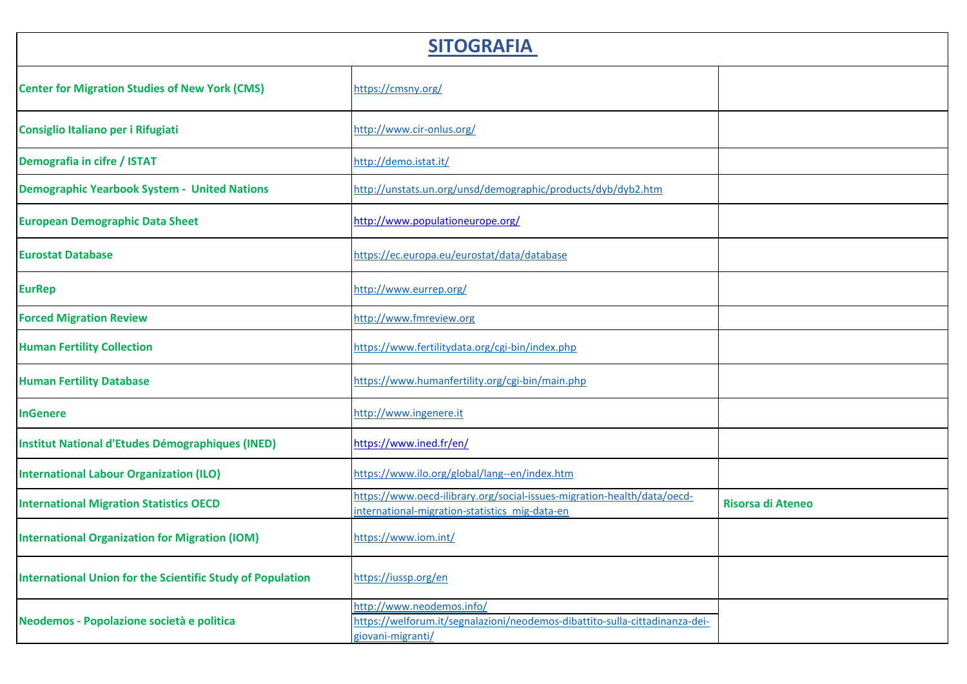| <b>SITOGRAFIA</b>                                                 |                                                                                                                               |                          |  |
|-------------------------------------------------------------------|-------------------------------------------------------------------------------------------------------------------------------|--------------------------|--|
| <b>Center for Migration Studies of New York (CMS)</b>             | https://cmsny.org/                                                                                                            |                          |  |
| Consiglio Italiano per i Rifugiati                                | http://www.cir-onlus.org/                                                                                                     |                          |  |
| Demografia in cifre / ISTAT                                       | http://demo.istat.it/                                                                                                         |                          |  |
| <b>Demographic Yearbook System - United Nations</b>               | http://unstats.un.org/unsd/demographic/products/dyb/dyb2.htm                                                                  |                          |  |
| <b>European Demographic Data Sheet</b>                            | http://www.populationeurope.org/                                                                                              |                          |  |
| <b>Eurostat Database</b>                                          | https://ec.europa.eu/eurostat/data/database                                                                                   |                          |  |
| <b>EurRep</b>                                                     | http://www.eurrep.org/                                                                                                        |                          |  |
| <b>Forced Migration Review</b>                                    | http://www.fmreview.org                                                                                                       |                          |  |
| <b>Human Fertility Collection</b>                                 | https://www.fertilitydata.org/cgi-bin/index.php                                                                               |                          |  |
| <b>Human Fertility Database</b>                                   | https://www.humanfertility.org/cgi-bin/main.php                                                                               |                          |  |
| <b>InGenere</b>                                                   | http://www.ingenere.it                                                                                                        |                          |  |
| <b>Institut National d'Etudes Démographiques (INED)</b>           | https://www.ined.fr/en/                                                                                                       |                          |  |
| <b>International Labour Organization (ILO)</b>                    | https://www.ilo.org/global/lang--en/index.htm                                                                                 |                          |  |
| <b>International Migration Statistics OECD</b>                    | https://www.oecd-ilibrary.org/social-issues-migration-health/data/oecd-<br>international-migration-statistics mig-data-en     | <b>Risorsa di Ateneo</b> |  |
| <b>International Organization for Migration (IOM)</b>             | https://www.iom.int/                                                                                                          |                          |  |
| <b>International Union for the Scientific Study of Population</b> | https://iussp.org/en                                                                                                          |                          |  |
| Neodemos - Popolazione società e politica                         | http://www.neodemos.info/<br>https://welforum.it/segnalazioni/neodemos-dibattito-sulla-cittadinanza-dei-<br>giovani-migranti/ |                          |  |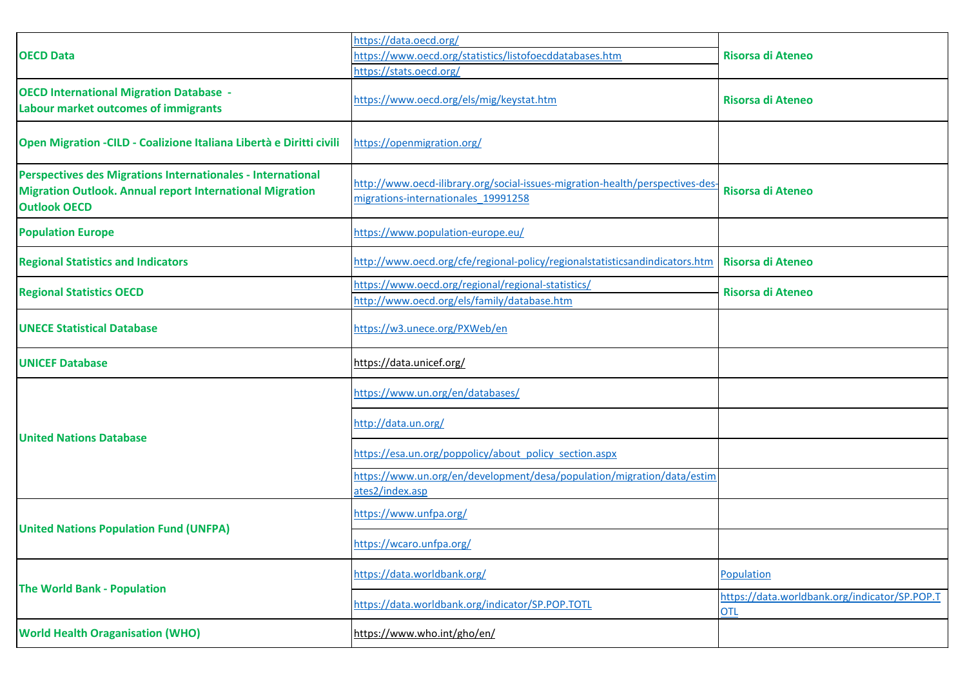|                                                                                                                                                       | https://data.oecd.org/                                                                                               |                                                             |
|-------------------------------------------------------------------------------------------------------------------------------------------------------|----------------------------------------------------------------------------------------------------------------------|-------------------------------------------------------------|
| <b>OECD Data</b>                                                                                                                                      | https://www.oecd.org/statistics/listofoecddatabases.htm                                                              | <b>Risorsa di Ateneo</b>                                    |
|                                                                                                                                                       | https://stats.oecd.org/                                                                                              |                                                             |
| <b>OECD International Migration Database -</b><br>Labour market outcomes of immigrants                                                                | https://www.oecd.org/els/mig/keystat.htm                                                                             | <b>Risorsa di Ateneo</b>                                    |
| Open Migration - CILD - Coalizione Italiana Libertà e Diritti civili                                                                                  | https://openmigration.org/                                                                                           |                                                             |
| Perspectives des Migrations Internationales - International<br><b>Migration Outlook. Annual report International Migration</b><br><b>Outlook OECD</b> | http://www.oecd-ilibrary.org/social-issues-migration-health/perspectives-des-<br>migrations-internationales 19991258 | <b>Risorsa di Ateneo</b>                                    |
| <b>Population Europe</b>                                                                                                                              | https://www.population-europe.eu/                                                                                    |                                                             |
| <b>Regional Statistics and Indicators</b>                                                                                                             | http://www.oecd.org/cfe/regional-policy/regionalstatisticsandindicators.htm                                          | <b>Risorsa di Ateneo</b>                                    |
| <b>Regional Statistics OECD</b>                                                                                                                       | https://www.oecd.org/regional/regional-statistics/<br>http://www.oecd.org/els/family/database.htm                    | Risorsa di Ateneo                                           |
| <b>UNECE Statistical Database</b>                                                                                                                     | https://w3.unece.org/PXWeb/en                                                                                        |                                                             |
| <b>UNICEF Database</b>                                                                                                                                | https://data.unicef.org/                                                                                             |                                                             |
|                                                                                                                                                       | https://www.un.org/en/databases/                                                                                     |                                                             |
| <b>United Nations Database</b>                                                                                                                        | http://data.un.org/                                                                                                  |                                                             |
|                                                                                                                                                       | https://esa.un.org/poppolicy/about policy section.aspx                                                               |                                                             |
|                                                                                                                                                       | https://www.un.org/en/development/desa/population/migration/data/estim<br>ates2/index.asp                            |                                                             |
|                                                                                                                                                       | https://www.unfpa.org/                                                                                               |                                                             |
| <b>United Nations Population Fund (UNFPA)</b>                                                                                                         | https://wcaro.unfpa.org/                                                                                             |                                                             |
|                                                                                                                                                       | https://data.worldbank.org/                                                                                          | Population                                                  |
| <b>The World Bank - Population</b>                                                                                                                    | https://data.worldbank.org/indicator/SP.POP.TOTL                                                                     | https://data.worldbank.org/indicator/SP.POP.T<br><b>OTL</b> |
| <b>World Health Oraganisation (WHO)</b>                                                                                                               | https://www.who.int/gho/en/                                                                                          |                                                             |